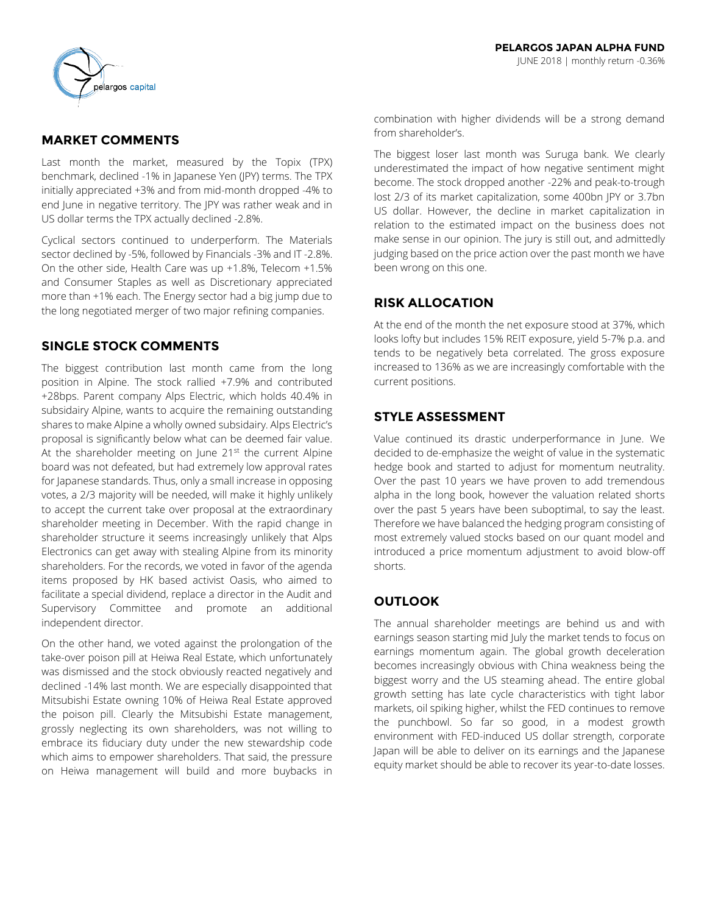

# **MARKET COMMENTS**

Last month the market, measured by the Topix (TPX) benchmark, declined -1% in Japanese Yen (JPY) terms. The TPX initially appreciated +3% and from mid-month dropped -4% to end June in negative territory. The JPY was rather weak and in US dollar terms the TPX actually declined -2.8%.

Cyclical sectors continued to underperform. The Materials sector declined by -5%, followed by Financials -3% and IT -2.8%. On the other side, Health Care was up +1.8%, Telecom +1.5% and Consumer Staples as well as Discretionary appreciated more than +1% each. The Energy sector had a big jump due to the long negotiated merger of two major refining companies.

## **SINGLE STOCK COMMENTS**

The biggest contribution last month came from the long position in Alpine. The stock rallied +7.9% and contributed +28bps. Parent company Alps Electric, which holds 40.4% in subsidairy Alpine, wants to acquire the remaining outstanding shares to make Alpine a wholly owned subsidairy. Alps Electric's proposal is significantly below what can be deemed fair value. At the shareholder meeting on June  $21^{st}$  the current Alpine board was not defeated, but had extremely low approval rates for Japanese standards. Thus, only a small increase in opposing votes, a 2/3 majority will be needed, will make it highly unlikely to accept the current take over proposal at the extraordinary shareholder meeting in December. With the rapid change in shareholder structure it seems increasingly unlikely that Alps Electronics can get away with stealing Alpine from its minority shareholders. For the records, we voted in favor of the agenda items proposed by HK based activist Oasis, who aimed to facilitate a special dividend, replace a director in the Audit and Supervisory Committee and promote an additional independent director.

On the other hand, we voted against the prolongation of the take-over poison pill at Heiwa Real Estate, which unfortunately was dismissed and the stock obviously reacted negatively and declined -14% last month. We are especially disappointed that Mitsubishi Estate owning 10% of Heiwa Real Estate approved the poison pill. Clearly the Mitsubishi Estate management, grossly neglecting its own shareholders, was not willing to embrace its fiduciary duty under the new stewardship code which aims to empower shareholders. That said, the pressure on Heiwa management will build and more buybacks in combination with higher dividends will be a strong demand from shareholder's.

The biggest loser last month was Suruga bank. We clearly underestimated the impact of how negative sentiment might become. The stock dropped another -22% and peak-to-trough lost 2/3 of its market capitalization, some 400bn JPY or 3.7bn US dollar. However, the decline in market capitalization in relation to the estimated impact on the business does not make sense in our opinion. The jury is still out, and admittedly judging based on the price action over the past month we have been wrong on this one.

## **RISK ALLOCATION**

At the end of the month the net exposure stood at 37%, which looks lofty but includes 15% REIT exposure, yield 5-7% p.a. and tends to be negatively beta correlated. The gross exposure increased to 136% as we are increasingly comfortable with the current positions.

# **STYLE ASSESSMENT**

Value continued its drastic underperformance in June. We decided to de-emphasize the weight of value in the systematic hedge book and started to adjust for momentum neutrality. Over the past 10 years we have proven to add tremendous alpha in the long book, however the valuation related shorts over the past 5 years have been suboptimal, to say the least. Therefore we have balanced the hedging program consisting of most extremely valued stocks based on our quant model and introduced a price momentum adjustment to avoid blow-off shorts.

# **OUTLOOK**

The annual shareholder meetings are behind us and with earnings season starting mid July the market tends to focus on earnings momentum again. The global growth deceleration becomes increasingly obvious with China weakness being the biggest worry and the US steaming ahead. The entire global growth setting has late cycle characteristics with tight labor markets, oil spiking higher, whilst the FED continues to remove the punchbowl. So far so good, in a modest growth environment with FED-induced US dollar strength, corporate Japan will be able to deliver on its earnings and the Japanese equity market should be able to recover its year-to-date losses.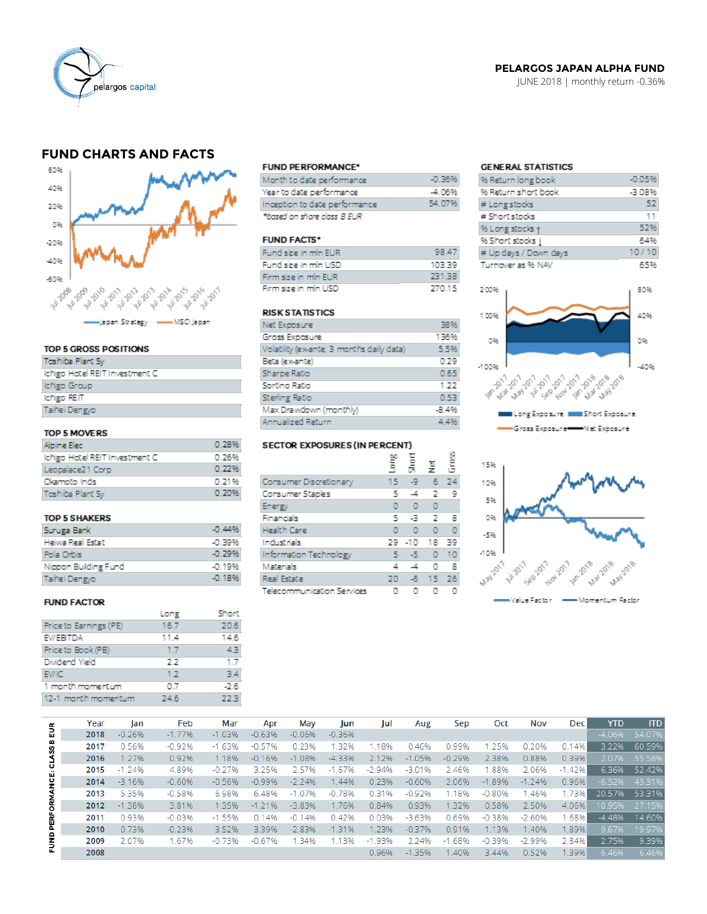

### PELARGOS JAPAN ALPHA FUND

JUNE 2018 | monthly return -0.36%

## **FUND CHARTS AND FACTS**



### TOP 5 GROSS POSITIONS

| <b>Toshiba Plant Sv</b>        |  |
|--------------------------------|--|
| Ichigo Hotel REIT Investment C |  |
| Ichigo Group                   |  |
| Ichigo REIT                    |  |
| Taihei Dengyo                  |  |
|                                |  |

### TOP 5 MOVERS

| Alpine Elec-                   | 0.289 |
|--------------------------------|-------|
| Ichigo Hotel REIT Investment C | 0.269 |
| Leopalace21 Corp               | 0.229 |
| Okamoto Inds                   | 0.219 |
| Toshiba Plant Sv               | 0.209 |

#### **TOP 5 SHAKERS**

| Suruga Bank          | $-0.44%$  |
|----------------------|-----------|
| Heiwa Real Estat     | -0.39%    |
| Pola Orbis           | $-0.29%$  |
| Nippon Building Fund | -0.19%    |
| Taihei Dengyo        | $-0.1896$ |

#### **FUND FACTOR**

|                        | Long | Short |
|------------------------|------|-------|
| Price to Earnings (PE) | 16.7 | 20.6  |
| EV/EBITDA              | 11.4 | 14.6  |
| Price to Book (PB)     | 1.7  | 43    |
| Dividend Yield         | 2.2  | 1.7   |
| <b>EV/IC</b>           | 1.2  | 34    |
| 1 month momentum       | 0.7  | -2.6  |
| 12-1 month momentum    | 24.6 | 22.3  |
|                        |      |       |

#### **FUND PERFORMANCE\***

| Month to date performance     | $-0.36%$ |
|-------------------------------|----------|
| Year to date performance      | -4.06%   |
| Inception to date performance | 54.07%   |
| *based on share class B EUR   |          |

#### **FUND FACTS\***

| Fund size in min EUR | 98.47  |
|----------------------|--------|
| Fund size in min USD | 103.39 |
| Firm size in mln EUR | 231.38 |
| Firm size in min USD | 270.15 |

#### **RISK STATISTICS**

| Net Exposure                              | 38%     |
|-------------------------------------------|---------|
| Gross Exposure                            | 136%    |
| Volatility (ex-ante; 3 months daily data) | 5.5%    |
| Beta (ex-ante)                            | 0.29    |
| Sharpe Ratio                              | 0.65    |
| Sortino Ratio                             | 1.22    |
| Sterling Ratio                            | 0.53    |
| Max Drawdown (monthly)                    | $-8.4%$ |
| Annualized Return                         | 4.4%    |

### SECTOR EXPOSURES (IN PERCENT)

|                            | ξ  | 흢     | 풍         | ĝ  |
|----------------------------|----|-------|-----------|----|
| Consumer Discretionary     | 15 | L9    | 6         | 24 |
| Consumer Staples           | 5  | -4    | 2         | 9  |
| Energy                     | ٥  | o     | o         |    |
| Financials                 | 5  | -3    | -2        | 8  |
| Health Care                | n  | n     | $\bullet$ | ٥  |
| Industrials                | 29 | $-10$ | - 18      | 39 |
| Information Technology     | 5  | -5    | $\Omega$  | 10 |
| Materials                  | 4  | ᅺ     | o         | 8  |
| Real Estate                | 20 |       | $-6$ 15   | 26 |
| Telecommunication Services | n  | n     |           |    |

ω.

### **GENERAL STATISTICS**

| % Return long book                          | $-0.05%$ |
|---------------------------------------------|----------|
| % Return short book                         | -3.08%   |
| # Long stocks                               | 52       |
| # Short stocks                              | 11       |
| % Long stocks +                             | 52%      |
| % Short stocks                              | 64%      |
| # Up days / Down days                       | 10/10    |
| Turnover as % NAV                           | 65%      |
|                                             |          |
| 200%                                        | 80%      |
|                                             |          |
| 1 00%                                       | 40%      |
|                                             |          |
| 0%                                          | 0%       |
|                                             |          |
| $-100%$                                     | -40%     |
|                                             |          |
| May 2018<br>14 14 14 14 15 16 17 18 19 19   |          |
|                                             |          |
| <b>MINI</b> Short Exposure<br>Long Exposure |          |

Gross Exposure - Net Exposure



|                     | Year | lan      | Feb      | Mar      | Apr      | May      | Jun      | Jul      | Aug      | Sep      | Oct      | <b>Nov</b> | <b>Dec</b> | <b>YTD</b> | <b>ITD</b> |
|---------------------|------|----------|----------|----------|----------|----------|----------|----------|----------|----------|----------|------------|------------|------------|------------|
| 틦<br><b>CLASS B</b> | 2018 | $-0.26%$ | $-1.77%$ | $-1.03%$ | $-0.63%$ | $-0.06%$ | $-0.36%$ |          |          |          |          |            |            | $-4.06%$   | 54.07%     |
|                     | 2017 | 0.56%    | $-0.92%$ | $-1.63%$ | $-0.57%$ | 0.23%    | .32%     | 1.18%    | 0.46%    | 0.99%    | 1.25%    | 0.20%      | 0.14%      | 3.22%      | 60.59%     |
|                     | 2016 | 1.27%    | 0.92%    | 1.18%    | $-0.16%$ | $-1.08%$ | $-4.33%$ | 2.12%    | $-1.05%$ | $-0.29%$ | 2.38%    | 0.88%      | 0.39%      | 2.07%      | 55.58%     |
|                     | 2015 | $-1.24%$ | 4.89%    | $-0.27%$ | 3.25%    | 2.57%    | $-1.67%$ | $-2.94%$ | $-3.01%$ | 2.46%    | .88%     | 2.06%      | $-1.42%$   | 6.36%      | 52.42%     |
| FUND PERFORMANCE:   | 2014 | $-3.16%$ | $-0.60%$ | $-0.56%$ | $-0.99%$ | $-2.24%$ | 1.44%    | 0.23%    | $-0.60%$ | 2.06%    | $-1.89%$ | $-1.24%$   | 0.96%      | $-6.52%$   | 43.31%     |
|                     | 2013 | 5.35%    | $-0.58%$ | 6.98%    | 6.48%    | $-1.07%$ | $-0.78%$ | 0.31%    | $-0.92%$ | 1.18%    | $-0.80%$ | 1.46%      | 1.73%      | 20.57%     | 53.31%     |
|                     | 2012 | $-1.38%$ | 3.81%    | 1.35%    | $-1.21%$ | $-3.83%$ | 1.76%    | 0.84%    | 0.93%    | 1.32%    | 0.58%    | 2.50%      | 4.06%      | 10.95%     | 27.15%     |
|                     | 2011 | 0.93%    | $-0.03%$ | $-1.55%$ | 0.14%    | $-0.14%$ | 0.42%    | 0.03%    | $-3.63%$ | 0.69%    | $-0.38%$ | $-2.60%$   | .68%       | $-4.48%$   | 14.60%     |
|                     | 2010 | 0.73%    | $-0.23%$ | 3.52%    | 3.39%    | $-2.83%$ | $-1.31%$ | 1.23%    | $-0.37%$ | 0.91%    | 1.13%    | 1.40%      | .89%       | 9.67%      | 19.97%     |
|                     | 2009 | 2.07%    | 1.67%    | $-0.73%$ | $-0.67%$ | 1.34%    | 1.13%    | $-1.93%$ | 2.24%    | $-1.68%$ | $-0.39%$ | $-2.99%$   | 2.84%      | 2.75%      | 9.39%      |
|                     | 2008 |          |          |          |          |          |          | 0.96%    | $-1.35%$ | 1.40%    | 3.44%    | 0.52%      | 1.39%      | 6.46%      | 6.46%      |
|                     |      |          |          |          |          |          |          |          |          |          |          |            |            |            |            |